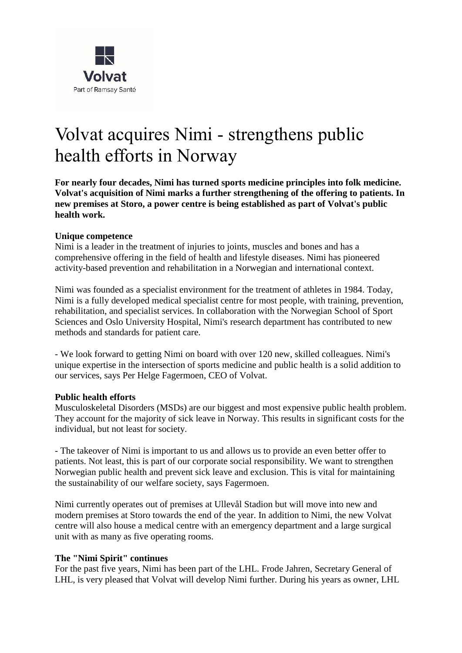

# Volvat acquires Nimi - strengthens public health efforts in Norway

**For nearly four decades, Nimi has turned sports medicine principles into folk medicine. Volvat's acquisition of Nimi marks a further strengthening of the offering to patients. In new premises at Storo, a power centre is being established as part of Volvat's public health work.**

#### **Unique competence**

Nimi is a leader in the treatment of injuries to joints, muscles and bones and has a comprehensive offering in the field of health and lifestyle diseases. Nimi has pioneered activity-based prevention and rehabilitation in a Norwegian and international context.

Nimi was founded as a specialist environment for the treatment of athletes in 1984. Today, Nimi is a fully developed medical specialist centre for most people, with training, prevention, rehabilitation, and specialist services. In collaboration with the Norwegian School of Sport Sciences and Oslo University Hospital, Nimi's research department has contributed to new methods and standards for patient care.

- We look forward to getting Nimi on board with over 120 new, skilled colleagues. Nimi's unique expertise in the intersection of sports medicine and public health is a solid addition to our services, says Per Helge Fagermoen, CEO of Volvat.

#### **Public health efforts**

Musculoskeletal Disorders (MSDs) are our biggest and most expensive public health problem. They account for the majority of sick leave in Norway. This results in significant costs for the individual, but not least for society.

- The takeover of Nimi is important to us and allows us to provide an even better offer to patients. Not least, this is part of our corporate social responsibility. We want to strengthen Norwegian public health and prevent sick leave and exclusion. This is vital for maintaining the sustainability of our welfare society, says Fagermoen.

Nimi currently operates out of premises at Ullevål Stadion but will move into new and modern premises at Storo towards the end of the year. In addition to Nimi, the new Volvat centre will also house a medical centre with an emergency department and a large surgical unit with as many as five operating rooms.

#### **The "Nimi Spirit" continues**

For the past five years, Nimi has been part of the LHL. Frode Jahren, Secretary General of LHL, is very pleased that Volvat will develop Nimi further. During his years as owner, LHL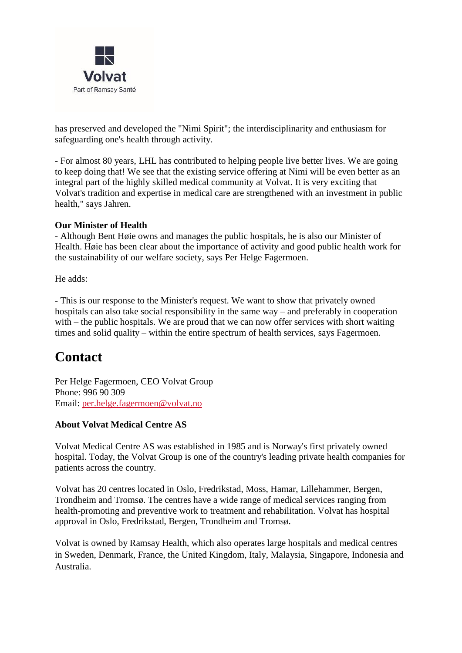

has preserved and developed the "Nimi Spirit"; the interdisciplinarity and enthusiasm for safeguarding one's health through activity.

- For almost 80 years, LHL has contributed to helping people live better lives. We are going to keep doing that! We see that the existing service offering at Nimi will be even better as an integral part of the highly skilled medical community at Volvat. It is very exciting that Volvat's tradition and expertise in medical care are strengthened with an investment in public health," says Jahren.

#### **Our Minister of Health**

- Although Bent Høie owns and manages the public hospitals, he is also our Minister of Health. Høie has been clear about the importance of activity and good public health work for the sustainability of our welfare society, says Per Helge Fagermoen.

He adds:

- This is our response to the Minister's request. We want to show that privately owned hospitals can also take social responsibility in the same way – and preferably in cooperation with – the public hospitals. We are proud that we can now offer services with short waiting times and solid quality – within the entire spectrum of health services, says Fagermoen.

## **Contact**

Per Helge Fagermoen, CEO Volvat Group Phone: 996 90 309 Email: [per.helge.fagermoen@volvat.no](mailto:per.helge.fagermoen@volvat.no)

### **About Volvat Medical Centre AS**

Volvat Medical Centre AS was established in 1985 and is Norway's first privately owned hospital. Today, the Volvat Group is one of the country's leading private health companies for patients across the country.

Volvat has 20 centres located in Oslo, Fredrikstad, Moss, Hamar, Lillehammer, Bergen, Trondheim and Tromsø. The centres have a wide range of medical services ranging from health-promoting and preventive work to treatment and rehabilitation. Volvat has hospital approval in Oslo, Fredrikstad, Bergen, Trondheim and Tromsø.

Volvat is owned by Ramsay Health, which also operates large hospitals and medical centres in Sweden, Denmark, France, the United Kingdom, Italy, Malaysia, Singapore, Indonesia and Australia.